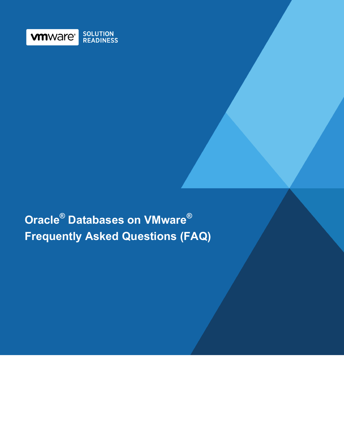

# **Oracle® Databases on VMware® Frequently Asked Questions (FAQ)**

Business Continuance of SAP Solutions on VMware vSphere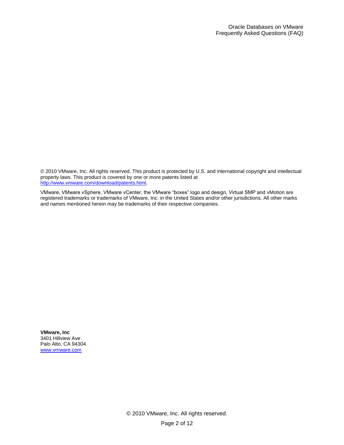© 2010 VMware, Inc. All rights reserved. This product is protected by U.S. and international copyright and intellectual property laws. This product is covered by one or more patents listed at [http://www.vmware.com/download/patents.html.](http://www.vmware.com/download/patents.html)

VMware, VMware vSphere, VMware vCenter, the VMware "boxes" logo and design, Virtual SMP and vMotion are registered trademarks or trademarks of VMware, Inc. in the United States and/or other jurisdictions. All other marks and names mentioned herein may be trademarks of their respective companies.

**VMware, Inc** 3401 Hillview Ave Palo Alto, CA 94304 [www.vmware.com](http://www.vmware.com/)

> © 2010 VMware, Inc. All rights reserved. Page 2 of 12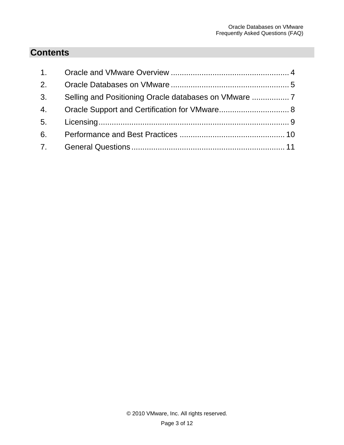## **Contents**

| 1 <sup>1</sup> |  |
|----------------|--|
| 2.             |  |
| 3 <sub>1</sub> |  |
| 4.             |  |
| 5 <sub>1</sub> |  |
| 6.             |  |
| 7.             |  |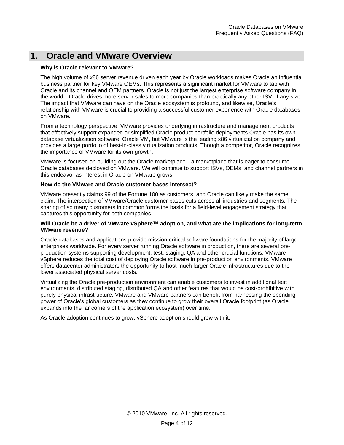### <span id="page-3-0"></span>**1. Oracle and VMware Overview**

#### **Why is Oracle relevant to VMware?**

The high volume of x86 server revenue driven each year by Oracle workloads makes Oracle an influential business partner for key VMware OEMs. This represents a significant market for VMware to tap with Oracle and its channel and OEM partners. Oracle is not just the largest enterprise software company in the world—Oracle drives more server sales to more companies than practically any other ISV of any size. The impact that VMware can have on the Oracle ecosystem is profound, and likewise, Oracle's relationship with VMware is crucial to providing a successful customer experience with Oracle databases on VMware.

From a technology perspective, VMware provides underlying infrastructure and management products that effectively support expanded or simplified Oracle product portfolio deployments Oracle has its own database virtualization software, Oracle VM, but VMware is the leading x86 virtualization company and provides a large portfolio of best-in-class virtualization products. Though a competitor, Oracle recognizes the importance of VMware for its own growth.

VMware is focused on building out the Oracle marketplace—a marketplace that is eager to consume Oracle databases deployed on VMware. We will continue to support ISVs, OEMs, and channel partners in this endeavor as interest in Oracle on VMware grows.

#### **How do the VMware and Oracle customer bases intersect?**

VMware presently claims 99 of the Fortune 100 as customers, and Oracle can likely make the same claim. The intersection of VMware/Oracle customer bases cuts across all industries and segments. The sharing of so many customers in common forms the basis for a field-level engagement strategy that captures this opportunity for both companies.

#### **Will Oracle be a driver of VMware vSphere™ adoption, and what are the implications for long-term VMware revenue?**

Oracle databases and applications provide mission-critical software foundations for the majority of large enterprises worldwide. For every server running Oracle software in production, there are several preproduction systems supporting development, test, staging, QA and other crucial functions. VMware vSphere reduces the total cost of deploying Oracle software in pre-production environments. VMware offers datacenter administrators the opportunity to host much larger Oracle infrastructures due to the lower associated physical server costs.

Virtualizing the Oracle pre-production environment can enable customers to invest in additional test environments, distributed staging, distributed QA and other features that would be cost-prohibitive with purely physical infrastructure. VMware and VMware partners can benefit from harnessing the spending power of Oracle's global customers as they continue to grow their overall Oracle footprint (as Oracle expands into the far corners of the application ecosystem) over time.

As Oracle adoption continues to grow, vSphere adoption should grow with it.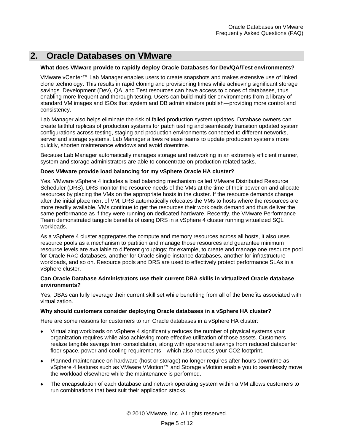### <span id="page-4-0"></span>**2. Oracle Databases on VMware**

#### **What does VMware provide to rapidly deploy Oracle Databases for Dev/QA/Test environments?**

VMware vCenter™ Lab Manager enables users to create snapshots and makes extensive use of linked clone technology. This results in rapid cloning and provisioning times while achieving significant storage savings. Development (Dev), QA, and Test resources can have access to clones of databases, thus enabling more frequent and thorough testing. Users can build multi-tier environments from a library of standard VM images and ISOs that system and DB administrators publish—providing more control and consistency.

Lab Manager also helps eliminate the risk of failed production system updates. Database owners can create faithful replicas of production systems for patch testing and seamlessly transition updated system configurations across testing, staging and production environments connected to different networks, server and storage systems. Lab Manager allows release teams to update production systems more quickly, shorten maintenance windows and avoid downtime.

Because Lab Manager automatically manages storage and networking in an extremely efficient manner, system and storage administrators are able to concentrate on production-related tasks.

#### **Does VMware provide load balancing for my vSphere Oracle HA cluster?**

Yes, VMware vSphere 4 includes a load balancing mechanism called VMware Distributed Resource Scheduler (DRS). DRS monitor the resource needs of the VMs at the time of their power on and allocate resources by placing the VMs on the appropriate hosts in the cluster. If the resource demands change after the initial placement of VM, DRS automatically relocates the VMs to hosts where the resources are more readily available. VMs continue to get the resources their workloads demand and thus deliver the same performance as if they were running on dedicated hardware. Recently, the VMware Performance Team demonstrated tangible benefits of using DRS in a vSphere 4 cluster running virtualized SQL workloads.

As a vSphere 4 cluster aggregates the compute and memory resources across all hosts, it also uses resource pools as a mechanism to partition and manage those resources and guarantee minimum resource levels are available to different groupings; for example, to create and manage one resource pool for Oracle RAC databases, another for Oracle single-instance databases, another for infrastructure workloads, and so on. Resource pools and DRS are used to effectively protect performance SLAs in a vSphere cluster.

#### **Can Oracle Database Administrators use their current DBA skills in virtualized Oracle database environments?**

Yes, DBAs can fully leverage their current skill set while benefiting from all of the benefits associated with virtualization.

#### **Why should customers consider deploying Oracle databases in a vSphere HA cluster?**

Here are some reasons for customers to run Oracle databases in a vSphere HA cluster:

- Virtualizing workloads on vSphere 4 significantly reduces the number of physical systems your organization requires while also achieving more effective utilization of those assets. Customers realize tangible savings from consolidation, along with operational savings from reduced datacenter floor space, power and cooling requirements—which also reduces your CO2 footprint.
- Planned maintenance on hardware (host or storage) no longer requires after-hours downtime as vSphere 4 features such as VMware VMotion™ and Storage vMotion enable you to seamlessly move the workload elsewhere while the maintenance is performed.
- The encapsulation of each database and network operating system within a VM allows customers to run combinations that best suit their application stacks.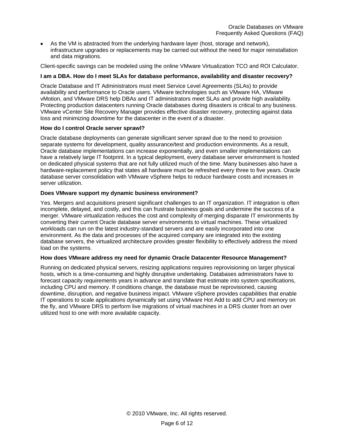As the VM is abstracted from the underlying hardware layer (host, storage and network), infrastructure upgrades or replacements may be carried out without the need for major reinstallation and data migrations.

Client-specific savings can be modeled using the online [VMware Virtualization TCO and ROI Calculator.](http://www.vmware.com/calculator)

#### **I am a DBA. How do I meet SLAs for database performance, availability and disaster recovery?**

Oracle Database and IT Administrators must meet Service Level Agreements (SLAs) to provide availability and performance to Oracle users. VMware technologies such as VMware HA, VMware vMotion, and VMware DRS help DBAs and IT administrators meet SLAs and provide high availability. Protecting production datacenters running Oracle databases during disasters is critical to any business. VMware vCenter Site Recovery Manager provides effective disaster recovery, protecting against data loss and minimizing downtime for the datacenter in the event of a disaster.

#### **How do I control Oracle server sprawl?**

Oracle database deployments can generate significant server sprawl due to the need to provision separate systems for development, quality assurance/test and production environments. As a result, Oracle database implementations can increase exponentially, and even smaller implementations can have a relatively large IT footprint. In a typical deployment, every database server environment is hosted on dedicated physical systems that are not fully utilized much of the time. Many businesses also have a hardware-replacement policy that states all hardware must be refreshed every three to five years. Oracle database server consolidation with VMware vSphere helps to reduce hardware costs and increases in server utilization.

#### **Does VMware support my dynamic business environment?**

Yes. Mergers and acquisitions present significant challenges to an IT organization. IT integration is often incomplete, delayed, and costly, and this can frustrate business goals and undermine the success of a merger. VMware virtualization reduces the cost and complexity of merging disparate IT environments by converting their current Oracle database server environments to virtual machines. These virtualized workloads can run on the latest industry-standard servers and are easily incorporated into one environment. As the data and processes of the acquired company are integrated into the existing database servers, the virtualized architecture provides greater flexibility to effectively address the mixed load on the systems.

#### **How does VMware address my need for dynamic Oracle Datacenter Resource Management?**

Running on dedicated physical servers, resizing applications requires reprovisioning on larger physical hosts, which is a time-consuming and highly disruptive undertaking. Databases administrators have to forecast capacity requirements years in advance and translate that estimate into system specifications, including CPU and memory. If conditions change, the database must be reprovisioned, causing downtime, disruption, and negative business impact. VMware vSphere provides capabilities that enable IT operations to scale applications dynamically set using VMware Hot Add to add CPU and memory on the fly, and VMware DRS to perform live migrations of virtual machines in a DRS cluster from an over utilized host to one with more available capacity.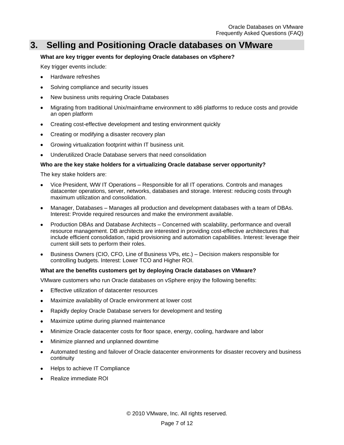### <span id="page-6-0"></span>**3. Selling and Positioning Oracle databases on VMware**

#### **What are key trigger events for deploying Oracle databases on vSphere?**

Key trigger events include:

- Hardware refreshes
- Solving compliance and security issues
- New business units requiring Oracle Databases
- Migrating from traditional Unix/mainframe environment to x86 platforms to reduce costs and provide an open platform
- Creating cost-effective development and testing environment quickly
- Creating or modifying a disaster recovery plan
- Growing virtualization footprint within IT business unit.  $\bullet$
- Underutilized Oracle Database servers that need consolidation

#### **Who are the key stake holders for a virtualizing Oracle database server opportunity?**

The key stake holders are:

- Vice President, WW IT Operations Responsible for all IT operations. Controls and manages datacenter operations, server, networks, databases and storage. Interest: reducing costs through maximum utilization and consolidation.
- Manager, Databases Manages all production and development databases with a team of DBAs. Interest: Provide required resources and make the environment available.
- Production DBAs and Database Architects Concerned with scalability, performance and overall resource management. DB architects are interested in providing cost-effective architectures that include efficient consolidation, rapid provisioning and automation capabilities. Interest: leverage their current skill sets to perform their roles.
- Business Owners (CIO, CFO, Line of Business VPs, etc.) Decision makers responsible for controlling budgets. Interest: Lower TCO and Higher ROI.

#### **What are the benefits customers get by deploying Oracle databases on VMware?**

VMware customers who run Oracle databases on vSphere enjoy the following benefits:

- Effective utilization of datacenter resources
- Maximize availability of Oracle environment at lower cost
- Rapidly deploy Oracle Database servers for development and testing
- Maximize uptime during planned maintenance
- Minimize Oracle datacenter costs for floor space, energy, cooling, hardware and labor
- Minimize planned and unplanned downtime
- Automated testing and failover of Oracle datacenter environments for disaster recovery and business continuity
- Helps to achieve IT Compliance
- Realize immediate ROI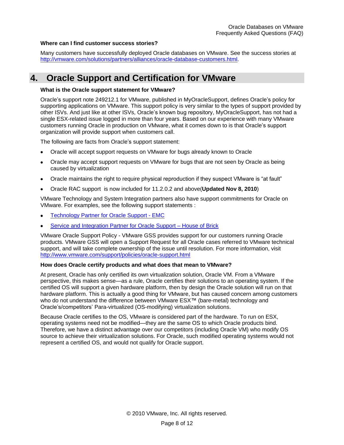#### **Where can I find customer success stories?**

Many customers have successfully deployed Oracle databases on VMware. See the success stories at [http://vmware.com/solutions/partners/alliances/oracle-database-customers.html.](http://vmware.com/solutions/partners/alliances/oracle-database-customers.html)

### <span id="page-7-0"></span>**4. Oracle Support and Certification for VMware**

#### **What is the Oracle support statement for VMware?**

Oracle's support note 249212.1 for VMware, published in MyOracleSupport, defines Oracle's policy for supporting applications on VMware. This support policy is very similar to the types of support provided by other ISVs. And just like at other ISVs, Oracle's known bug repository, MyOracleSupport, has not had a single ESX-related issue logged in more than four years. Based on our experience with many VMware customers running Oracle in production on VMware, what it comes down to is that Oracle's support organization will provide support when customers call.

The following are facts from Oracle's support statement:

- Oracle will accept support requests on VMware for bugs already known to Oracle
- Oracle may accept support requests on VMware for bugs that are not seen by Oracle as being caused by virtualization
- Oracle maintains the right to require physical reproduction if they suspect VMware is "at fault"
- Oracle RAC support is now included for 11.2.0.2 and above(**Updated Nov 8, 2010**)

VMware Technology and System Integration partners also have support commitments for Oracle on VMware. For examples, see the following support statements :

- [Technology Partner for Oracle Support -](http://www.emc.com/solutions/application-environment/oracle/oracle-virtualization-vmware.htm) EMC
- [Service and Integration Partner for Oracle Support –](http://www.houseofbrick.com/oracle-on-vmware) House of Brick

VMware Oracle Support Policy - VMware GSS provides support for our customers running Oracle products. VMware GSS will open a Support Request for all Oracle cases referred to VMware technical support, and will take complete ownership of the issue until resolution. For more information, visit <http://www.vmware.com/support/policies/oracle-support.html>

#### **How does Oracle certify products and what does that mean to VMware?**

At present, Oracle has only certified its own virtualization solution, Oracle VM. From a VMware perspective, this makes sense—as a rule, Oracle certifies their solutions to an operating system. If the certified OS will support a given hardware platform, then by design the Oracle solution will run on that hardware platform. This is actually a good thing for VMware, but has caused concern among customers who do not understand the difference between VMware ESX™ (bare-metal) technology and Oracle's/competitors' Para-virtualized (OS-modifying) virtualization solutions.

Because Oracle certifies to the OS, VMware is considered part of the hardware. To run on ESX, operating systems need not be modified—they are the same OS to which Oracle products bind. Therefore, we have a distinct advantage over our competitors (including Oracle VM) who modify OS source to achieve their virtualization solutions. For Oracle, such modified operating systems would not represent a certified OS, and would not qualify for Oracle support.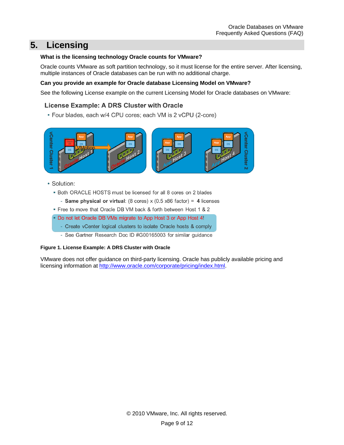### <span id="page-8-0"></span>**5. Licensing**

#### **What is the licensing technology Oracle counts for VMware?**

Oracle counts VMware as soft partition technology, so it must license for the entire server. After licensing, multiple instances of Oracle databases can be run with no additional charge.

#### **Can you provide an example for Oracle database Licensing Model on VMware?**

See the following License example on the current Licensing Model for Oracle databases on VMware:

### **License Example: A DRS Cluster with Oracle**

• Four blades, each w/4 CPU cores; each VM is 2 vCPU (2-core)



- Solution:
	- . Both ORACLE HOSTS must be licensed for all 8 cores on 2 blades
		- Same physical or virtual: (8 cores)  $x$  (0.5 x86 factor) = 4 licenses
	- . Free to move that Oracle DB VM back & forth between Host 1 & 2
	- Do not let Oracle DB VMs migrate to App Host 3 or App Host 4!
		- Create vCenter logical clusters to isolate Oracle hosts & comply
		- See Gartner Research Doc ID #G00165003 for similar guidance

#### **Figure 1. License Example: A DRS Cluster with Oracle**

VMware does not offer guidance on third-party licensing. Oracle has publicly available pricing and licensing information at [http://www.oracle.com/corporate/pricing/index.html.](http://www.oracle.com/corporate/pricing/index.html)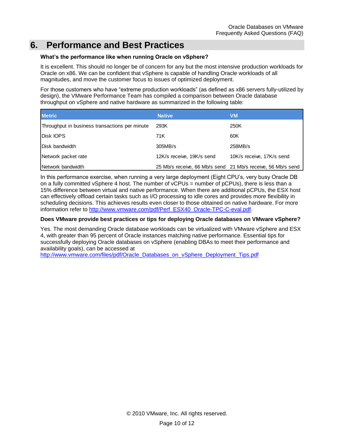### <span id="page-9-0"></span>**6. Performance and Best Practices**

#### **What's the performance like when running Oracle on vSphere?**

It is excellent. This should no longer be of concern for any but the most intensive production workloads for Oracle on x86. We can be confident that vSphere is capable of handling Oracle workloads of all magnitudes, and move the customer focus to issues of optimized deployment.

For those customers who have "extreme production workloads" (as defined as x86 servers fully-utilized by design), the VMware Performance Team has compiled a comparison between Oracle database throughput on vSphere and native hardware as summarized in the following table:

| <b>Metric</b>                                  | <b>Native</b>             | <b>VM</b>                                                   |
|------------------------------------------------|---------------------------|-------------------------------------------------------------|
| Throughput in business transactions per minute | 293K                      | 250K                                                        |
| Disk IOPS                                      | 71K                       | 60K                                                         |
| Disk bandwidth                                 | 305MB/s                   | 258MB/s                                                     |
| Network packet rate                            | 12K/s receive, 19K/s send | 10K/s receive, 17K/s send                                   |
| Network bandwidth                              |                           | 25 Mb/s receive, 66 Mb/s send 21 Mb/s receive, 56 Mb/s send |

In this performance exercise, when running a very large deployment (Eight CPU's, very busy Oracle DB on a fully committed vSphere 4 host. The number of vCPUs = number of pCPUs), there is less than a 15% difference between virtual and native performance. When there are additional pCPUs, the ESX host can effectively offload certain tasks such as I/O processing to idle cores and provides more flexibility in scheduling decisions. This achieves results even closer to those obtained on native hardware. For more information refer to [http://www.vmware.com/pdf/Perf\\_ESX40\\_Oracle-TPC-C-eval.pdf.](http://www.vmware.com/pdf/Perf_ESX40_Oracle-TPC-C-eval.pdf)

#### **Does VMware provide best practices or tips for deploying Oracle databases on VMware vSphere?**

Yes. The most demanding Oracle database workloads can be virtualized with VMware vSphere and ESX 4, with greater than 95 percent of Oracle instances matching native performance. Essential tips for successfully deploying Oracle databases on vSphere (enabling DBAs to meet their performance and availability goals), can be accessed at

[http://www.vmware.com/files/pdf/Oracle\\_Databases\\_on\\_vSphere\\_Deployment\\_Tips.pdf](http://www.vmware.com/files/pdf/Oracle_Databases_on_vSphere_Deployment_Tips.pdf)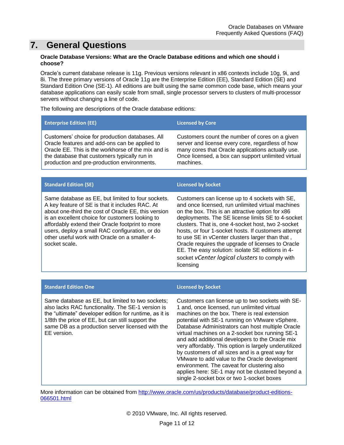### <span id="page-10-0"></span>**7. General Questions**

#### **Oracle Database Versions: What are the Oracle Database editions and which one should i choose?**

Oracle's current database release is 11g. Previous versions relevant in x86 contexts include 10g, 9i, and 8i. The three primary versions of Oracle 11g are the Enterprise Edition (EE), Standard Edition (SE) and Standard Edition One (SE-1). All editions are built using the same common code base, which means your database applications can easily scale from small, single processor servers to clusters of multi-processor servers without changing a line of code.

The following are descriptions of the Oracle database editions:

| <b>Enterprise Edition (EE)</b>                     | <b>Licensed by Core</b>                            |
|----------------------------------------------------|----------------------------------------------------|
| Customers' choice for production databases. All    | Customers count the number of cores on a given     |
| Oracle features and add-ons can be applied to      | server and license every core, regardless of how   |
| Oracle EE. This is the workhorse of the mix and is | many cores that Oracle applications actually use.  |
| the database that customers typically run in       | Once licensed, a box can support unlimited virtual |
| production and pre-production environments.        | machines.                                          |

| <b>Standard Edition (SE)</b>                                                                                                                                                                                                                                                                                                                                                           | <b>Licensed by Socket</b>                                                                                                                                                                                                                                                                                                                                                                                                                                                                                                                            |
|----------------------------------------------------------------------------------------------------------------------------------------------------------------------------------------------------------------------------------------------------------------------------------------------------------------------------------------------------------------------------------------|------------------------------------------------------------------------------------------------------------------------------------------------------------------------------------------------------------------------------------------------------------------------------------------------------------------------------------------------------------------------------------------------------------------------------------------------------------------------------------------------------------------------------------------------------|
| Same database as EE, but limited to four sockets.<br>A key feature of SE is that it includes RAC. At<br>about one-third the cost of Oracle EE, this version<br>is an excellent choice for customers looking to<br>affordably extend their Oracle footprint to more<br>users, deploy a small RAC configuration, or do<br>other useful work with Oracle on a smaller 4-<br>socket scale. | Customers can license up to 4 sockets with SE,<br>and once licensed, run unlimited virtual machines<br>on the box. This is an attractive option for x86<br>deployments. The SE license limits SE to 4-socket<br>clusters. That is, one 4-socket host, two 2-socket<br>hosts, or four 1-socket hosts. If customers attempt<br>to use SE in vCenter clusters larger than that,<br>Oracle requires the upgrade of licenses to Oracle<br>EE. The easy solution: isolate SE editions in 4-<br>socket vCenter logical clusters to comply with<br>licensing |

#### **Standard Edition One Licensed by Socket**

Same database as EE, but limited to two sockets; also lacks RAC functionality. The SE-1 version is the "ultimate" developer edition for runtime, as it is 1/8th the price of EE, but can still support the same DB as a production server licensed with the EE version.

Customers can license up to two sockets with SE-1 and, once licensed, run unlimited virtual machines on the box. There is real extension potential with SE-1 running on VMware vSphere. Database Administrators can host multiple Oracle virtual machines on a 2-socket box running SE-1 and add additional developers to the Oracle mix very affordably. This option is largely underutilized by customers of all sizes and is a great way for VMware to add value to the Oracle development environment. The caveat for clustering also applies here: SE-1 may not be clustered beyond a single 2-socket box or two 1-socket boxes

More information can be obtained from [http://www.oracle.com/us/products/database/product-editions-](http://www.oracle.com/us/products/database/product-editions-066501.html)[066501.html](http://www.oracle.com/us/products/database/product-editions-066501.html)

© 2010 VMware, Inc. All rights reserved.